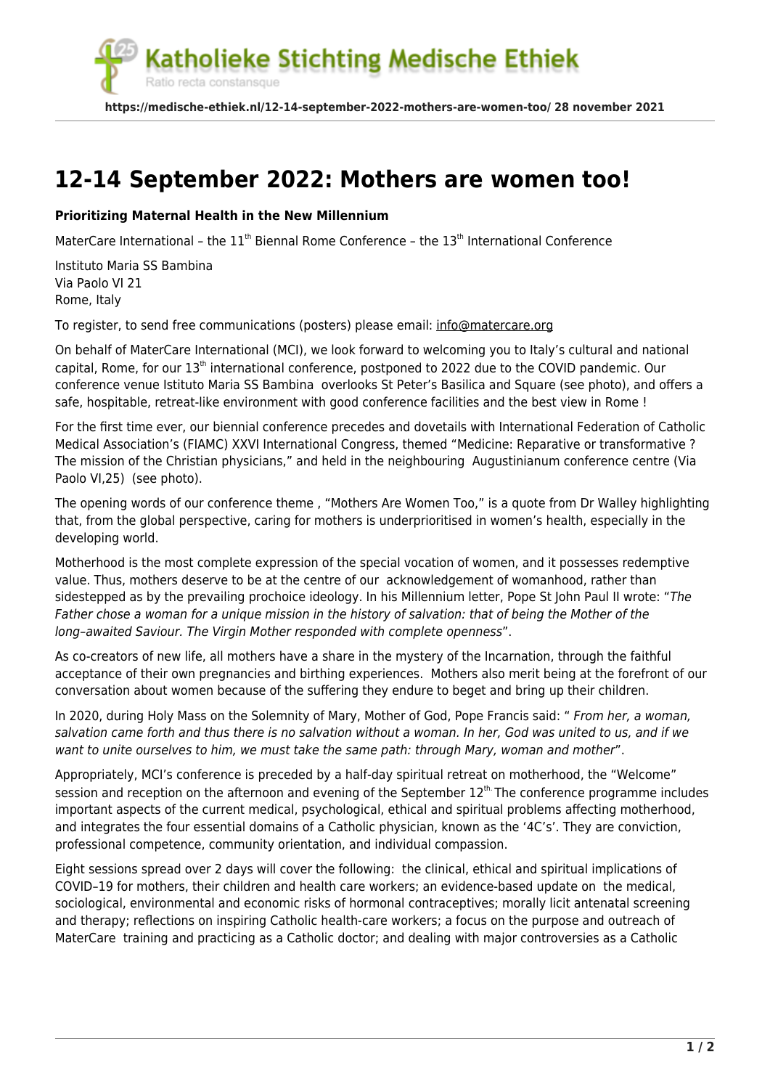atholieke Stichting Medische Ethiek

**https://medische-ethiek.nl/12-14-september-2022-mothers-are-women-too/ 28 november 2021**

## **[12-14 September 2022: Mothers are women too!](https://medische-ethiek.nl/12-14-september-2022-mothers-are-women-too/)**

## **Prioritizing Maternal Health in the New Millennium**

Ratio recta constansque

MaterCare International – the  $11<sup>th</sup>$  Biennal Rome Conference – the  $13<sup>th</sup>$  International Conference

Instituto Maria SS Bambina Via Paolo VI 21 Rome, Italy

To register, to send free communications (posters) please email: [info@matercare.org](mailto:info@matercare.org)

On behalf of MaterCare International (MCI), we look forward to welcoming you to Italy's cultural and national capital, Rome, for our 13<sup>th</sup> international conference, postponed to 2022 due to the COVID pandemic. Our conference venue Istituto Maria SS Bambina overlooks St Peter's Basilica and Square (see photo), and offers a safe, hospitable, retreat-like environment with good conference facilities and the best view in Rome !

For the first time ever, our biennial conference precedes and dovetails with International Federation of Catholic Medical Association's (FIAMC) XXVI International Congress, themed "Medicine: Reparative or transformative ? The mission of the Christian physicians," and held in the neighbouring Augustinianum conference centre (Via Paolo VI,25) (see photo).

The opening words of our conference theme , "Mothers Are Women Too," is a quote from Dr Walley highlighting that, from the global perspective, caring for mothers is underprioritised in women's health, especially in the developing world.

Motherhood is the most complete expression of the special vocation of women, and it possesses redemptive value. Thus, mothers deserve to be at the centre of our acknowledgement of womanhood, rather than sidestepped as by the prevailing prochoice ideology. In his Millennium letter, Pope St John Paul II wrote: "The Father chose a woman for a unique mission in the history of salvation: that of being the Mother of the long–awaited Saviour. The Virgin Mother responded with complete openness".

As co-creators of new life, all mothers have a share in the mystery of the Incarnation, through the faithful acceptance of their own pregnancies and birthing experiences. Mothers also merit being at the forefront of our conversation about women because of the suffering they endure to beget and bring up their children.

In 2020, during Holy Mass on the Solemnity of Mary, Mother of God, Pope Francis said: " From her, a woman, salvation came forth and thus there is no salvation without a woman. In her, God was united to us, and if we want to unite ourselves to him, we must take the same path: through Mary, woman and mother".

Appropriately, MCI's conference is preceded by a half-day spiritual retreat on motherhood, the "Welcome" session and reception on the afternoon and evening of the September 12<sup>th.</sup> The conference programme includes important aspects of the current medical, psychological, ethical and spiritual problems affecting motherhood, and integrates the four essential domains of a Catholic physician, known as the '4C's'. They are conviction, professional competence, community orientation, and individual compassion.

Eight sessions spread over 2 days will cover the following: the clinical, ethical and spiritual implications of COVID–19 for mothers, their children and health care workers; an evidence-based update on the medical, sociological, environmental and economic risks of hormonal contraceptives; morally licit antenatal screening and therapy; reflections on inspiring Catholic health-care workers; a focus on the purpose and outreach of MaterCare training and practicing as a Catholic doctor; and dealing with major controversies as a Catholic